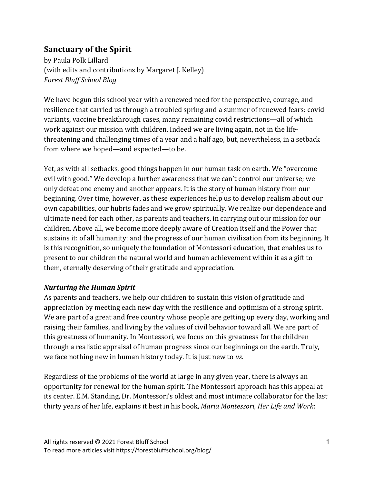# **Sanctuary of the Spirit**

by Paula Polk Lillard (with edits and contributions by Margaret J. Kelley) *Forest Bluff School Blog*

We have begun this school year with a renewed need for the perspective, courage, and resilience that carried us through a troubled spring and a summer of renewed fears: covid variants, vaccine breakthrough cases, many remaining covid restrictions—all of which work against our mission with children. Indeed we are living again, not in the lifethreatening and challenging times of a year and a half ago, but, nevertheless, in a setback from where we hoped—and expected—to be.

Yet, as with all setbacks, good things happen in our human task on earth. We "overcome" evil with good." We develop a further awareness that we can't control our universe; we only defeat one enemy and another appears. It is the story of human history from our beginning. Over time, however, as these experiences help us to develop realism about our own capabilities, our hubris fades and we grow spiritually. We realize our dependence and ultimate need for each other, as parents and teachers, in carrying out our mission for our children. Above all, we become more deeply aware of Creation itself and the Power that sustains it: of all humanity; and the progress of our human civilization from its beginning. It is this recognition, so uniquely the foundation of Montessori education, that enables us to present to our children the natural world and human achievement within it as a gift to them, eternally deserving of their gratitude and appreciation.

### *Nurturing the Human Spirit*

As parents and teachers, we help our children to sustain this vision of gratitude and appreciation by meeting each new day with the resilience and optimism of a strong spirit. We are part of a great and free country whose people are getting up every day, working and raising their families, and living by the values of civil behavior toward all. We are part of this greatness of humanity. In Montessori, we focus on this greatness for the children through a realistic appraisal of human progress since our beginnings on the earth. Truly, we face nothing new in human history today. It is just new to *us*.

Regardless of the problems of the world at large in any given year, there is always an opportunity for renewal for the human spirit. The Montessori approach has this appeal at its center. E.M. Standing, Dr. Montessori's oldest and most intimate collaborator for the last thirty years of her life, explains it best in his book, *Maria Montessori, Her Life and Work*: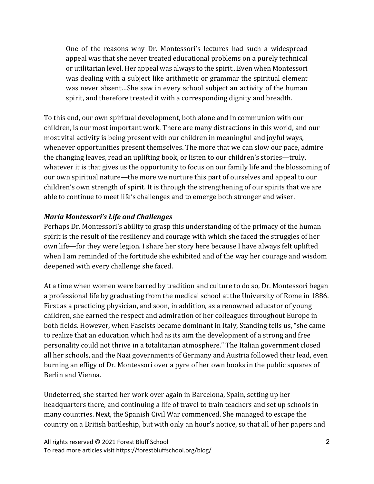One of the reasons why Dr. Montessori's lectures had such a widespread appeal was that she never treated educational problems on a purely technical or utilitarian level. Her appeal was always to the spirit...Even when Montessori was dealing with a subject like arithmetic or grammar the spiritual element was never absent...She saw in every school subject an activity of the human spirit, and therefore treated it with a corresponding dignity and breadth.

To this end, our own spiritual development, both alone and in communion with our children, is our most important work. There are many distractions in this world, and our most vital activity is being present with our children in meaningful and joyful ways, whenever opportunities present themselves. The more that we can slow our pace, admire the changing leaves, read an uplifting book, or listen to our children's stories—truly, whatever it is that gives us the opportunity to focus on our family life and the blossoming of our own spiritual nature—the more we nurture this part of ourselves and appeal to our children's own strength of spirit. It is through the strengthening of our spirits that we are able to continue to meet life's challenges and to emerge both stronger and wiser.

# *Maria Montessori's Life and Challenges*

Perhaps Dr. Montessori's ability to grasp this understanding of the primacy of the human spirit is the result of the resiliency and courage with which she faced the struggles of her own life—for they were legion. I share her story here because I have always felt uplifted when I am reminded of the fortitude she exhibited and of the way her courage and wisdom deepened with every challenge she faced.

At a time when women were barred by tradition and culture to do so, Dr. Montessori began a professional life by graduating from the medical school at the University of Rome in 1886. First as a practicing physician, and soon, in addition, as a renowned educator of young children, she earned the respect and admiration of her colleagues throughout Europe in both fields. However, when Fascists became dominant in Italy, Standing tells us, "she came to realize that an education which had as its aim the development of a strong and free personality could not thrive in a totalitarian atmosphere." The Italian government closed all her schools, and the Nazi governments of Germany and Austria followed their lead, even burning an effigy of Dr. Montessori over a pyre of her own books in the public squares of Berlin and Vienna.

Undeterred, she started her work over again in Barcelona, Spain, setting up her headquarters there, and continuing a life of travel to train teachers and set up schools in many countries. Next, the Spanish Civil War commenced. She managed to escape the country on a British battleship, but with only an hour's notice, so that all of her papers and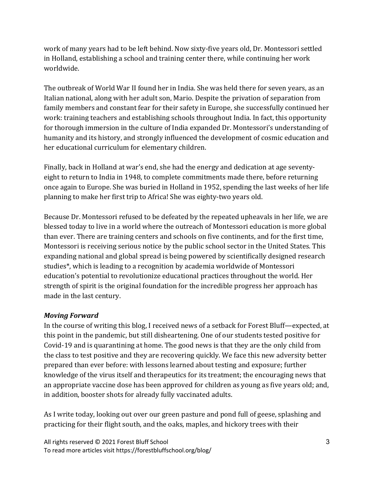work of many years had to be left behind. Now sixty-five years old, Dr. Montessori settled in Holland, establishing a school and training center there, while continuing her work worldwide.

The outbreak of World War II found her in India. She was held there for seven years, as an Italian national, along with her adult son, Mario. Despite the privation of separation from family members and constant fear for their safety in Europe, she successfully continued her work: training teachers and establishing schools throughout India. In fact, this opportunity for thorough immersion in the culture of India expanded Dr. Montessori's understanding of humanity and its history, and strongly influenced the development of cosmic education and her educational curriculum for elementary children.

Finally, back in Holland at war's end, she had the energy and dedication at age seventyeight to return to India in 1948, to complete commitments made there, before returning once again to Europe. She was buried in Holland in 1952, spending the last weeks of her life planning to make her first trip to Africa! She was eighty-two years old.

Because Dr. Montessori refused to be defeated by the repeated upheavals in her life, we are blessed today to live in a world where the outreach of Montessori education is more global than ever. There are training centers and schools on five continents, and for the first time, Montessori is receiving serious notice by the public school sector in the United States. This expanding national and global spread is being powered by scientifically designed research studies\*, which is leading to a recognition by academia worldwide of Montessori education's potential to revolutionize educational practices throughout the world. Her strength of spirit is the original foundation for the incredible progress her approach has made in the last century.

### *Moving Forward*

In the course of writing this blog, I received news of a setback for Forest Bluff—expected, at this point in the pandemic, but still disheartening. One of our students tested positive for Covid-19 and is quarantining at home. The good news is that they are the only child from the class to test positive and they are recovering quickly. We face this new adversity better prepared than ever before: with lessons learned about testing and exposure; further knowledge of the virus itself and therapeutics for its treatment; the encouraging news that an appropriate vaccine dose has been approved for children as young as five years old; and, in addition, booster shots for already fully vaccinated adults.

As I write today, looking out over our green pasture and pond full of geese, splashing and practicing for their flight south, and the oaks, maples, and hickory trees with their